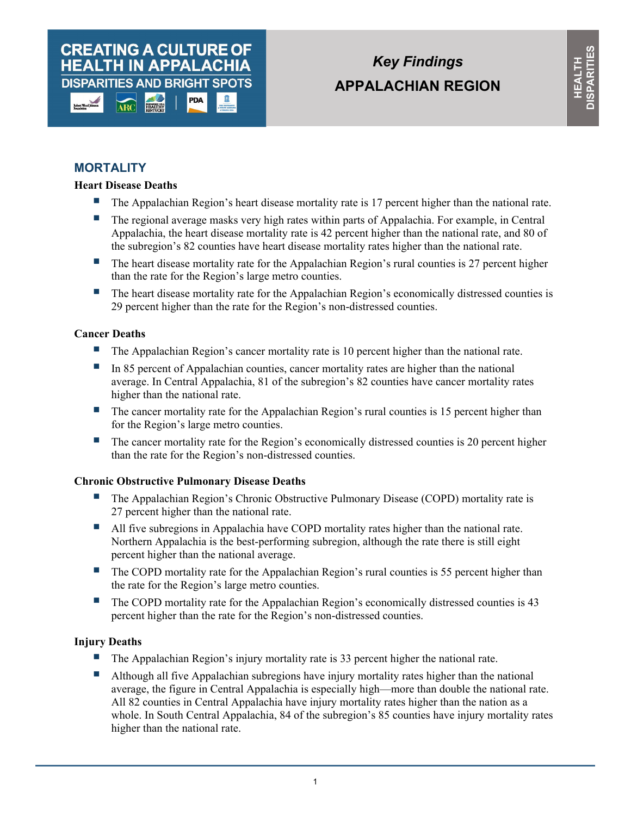## **CREATING A CULTURE OF HEALTH IN APPALACHIA DISPARITIES AND BRIGHT SPOTS** PDA

*Key Findings*  **APPALACHIAN REGION**

# **MORTALITY**

## **Heart Disease Deaths**

- **The Appalachian Region's heart disease mortality rate is 17 percent higher than the national rate.**
- The regional average masks very high rates within parts of Appalachia. For example, in Central Appalachia, the heart disease mortality rate is 42 percent higher than the national rate, and 80 of the subregion's 82 counties have heart disease mortality rates higher than the national rate.
- The heart disease mortality rate for the Appalachian Region's rural counties is 27 percent higher than the rate for the Region's large metro counties.
- The heart disease mortality rate for the Appalachian Region's economically distressed counties is 29 percent higher than the rate for the Region's non-distressed counties.

## **Cancer Deaths**

- The Appalachian Region's cancer mortality rate is 10 percent higher than the national rate.
- In 85 percent of Appalachian counties, cancer mortality rates are higher than the national average. In Central Appalachia, 81 of the subregion's 82 counties have cancer mortality rates higher than the national rate.
- The cancer mortality rate for the Appalachian Region's rural counties is 15 percent higher than for the Region's large metro counties.
- $\blacksquare$  The cancer mortality rate for the Region's economically distressed counties is 20 percent higher than the rate for the Region's non-distressed counties.

## **Chronic Obstructive Pulmonary Disease Deaths**

- The Appalachian Region's Chronic Obstructive Pulmonary Disease (COPD) mortality rate is 27 percent higher than the national rate.
- All five subregions in Appalachia have COPD mortality rates higher than the national rate. Northern Appalachia is the best-performing subregion, although the rate there is still eight percent higher than the national average.
- The COPD mortality rate for the Appalachian Region's rural counties is 55 percent higher than the rate for the Region's large metro counties.
- The COPD mortality rate for the Appalachian Region's economically distressed counties is 43 percent higher than the rate for the Region's non-distressed counties.

## **Injury Deaths**

- The Appalachian Region's injury mortality rate is 33 percent higher the national rate.
- Although all five Appalachian subregions have injury mortality rates higher than the national average, the figure in Central Appalachia is especially high—more than double the national rate. All 82 counties in Central Appalachia have injury mortality rates higher than the nation as a whole. In South Central Appalachia, 84 of the subregion's 85 counties have injury mortality rates higher than the national rate.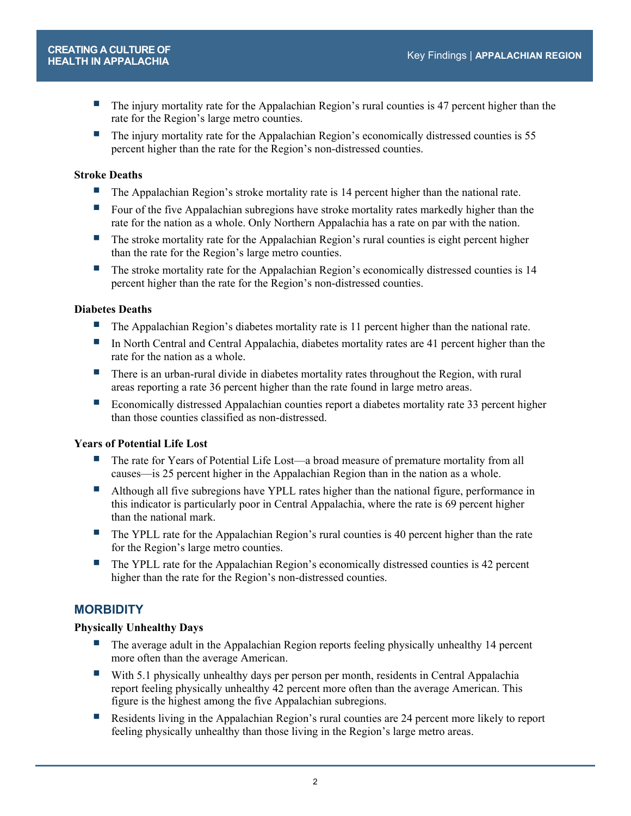- The injury mortality rate for the Appalachian Region's rural counties is 47 percent higher than the rate for the Region's large metro counties.
- The injury mortality rate for the Appalachian Region's economically distressed counties is 55 percent higher than the rate for the Region's non-distressed counties.

## **Stroke Deaths**

- **The Appalachian Region's stroke mortality rate is 14 percent higher than the national rate.**
- Four of the five Appalachian subregions have stroke mortality rates markedly higher than the rate for the nation as a whole. Only Northern Appalachia has a rate on par with the nation.
- The stroke mortality rate for the Appalachian Region's rural counties is eight percent higher than the rate for the Region's large metro counties.
- The stroke mortality rate for the Appalachian Region's economically distressed counties is 14 percent higher than the rate for the Region's non-distressed counties.

## **Diabetes Deaths**

- The Appalachian Region's diabetes mortality rate is 11 percent higher than the national rate.
- In North Central and Central Appalachia, diabetes mortality rates are 41 percent higher than the rate for the nation as a whole.
- There is an urban-rural divide in diabetes mortality rates throughout the Region, with rural areas reporting a rate 36 percent higher than the rate found in large metro areas.
- Economically distressed Appalachian counties report a diabetes mortality rate 33 percent higher than those counties classified as non-distressed.

## **Years of Potential Life Lost**

- The rate for Years of Potential Life Lost—a broad measure of premature mortality from all causes—is 25 percent higher in the Appalachian Region than in the nation as a whole.
- Although all five subregions have YPLL rates higher than the national figure, performance in this indicator is particularly poor in Central Appalachia, where the rate is 69 percent higher than the national mark.
- **The YPLL rate for the Appalachian Region's rural counties is 40 percent higher than the rate** for the Region's large metro counties.
- The YPLL rate for the Appalachian Region's economically distressed counties is 42 percent higher than the rate for the Region's non-distressed counties.

## **MORBIDITY**

## **Physically Unhealthy Days**

- **The average adult in the Appalachian Region reports feeling physically unhealthy 14 percent** more often than the average American.
- With 5.1 physically unhealthy days per person per month, residents in Central Appalachia report feeling physically unhealthy 42 percent more often than the average American. This figure is the highest among the five Appalachian subregions.
- Residents living in the Appalachian Region's rural counties are 24 percent more likely to report feeling physically unhealthy than those living in the Region's large metro areas.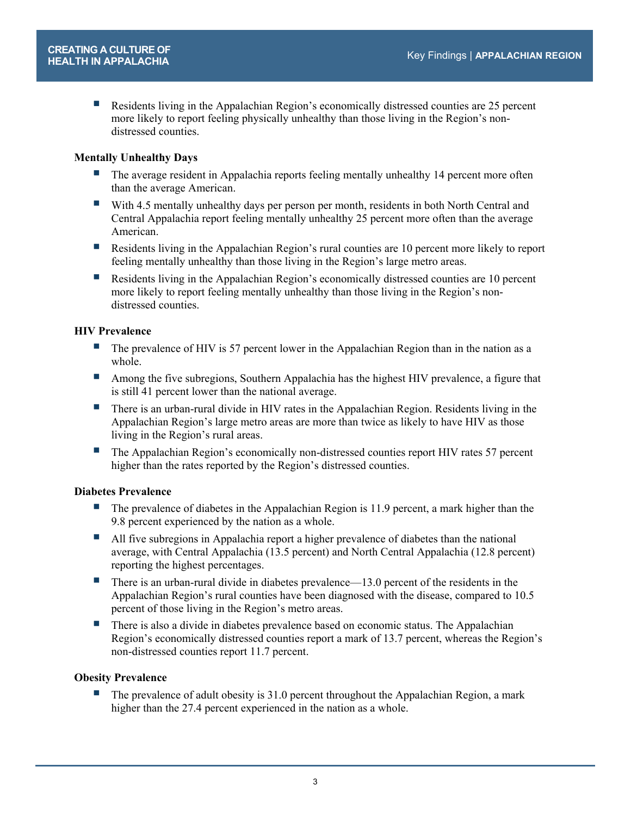Residents living in the Appalachian Region's economically distressed counties are 25 percent more likely to report feeling physically unhealthy than those living in the Region's nondistressed counties.

#### **Mentally Unhealthy Days**

- The average resident in Appalachia reports feeling mentally unhealthy 14 percent more often than the average American.
- With 4.5 mentally unhealthy days per person per month, residents in both North Central and Central Appalachia report feeling mentally unhealthy 25 percent more often than the average American.
- Residents living in the Appalachian Region's rural counties are 10 percent more likely to report feeling mentally unhealthy than those living in the Region's large metro areas.
- Residents living in the Appalachian Region's economically distressed counties are 10 percent more likely to report feeling mentally unhealthy than those living in the Region's nondistressed counties.

#### **HIV Prevalence**

- $\blacksquare$  The prevalence of HIV is 57 percent lower in the Appalachian Region than in the nation as a whole.
- **Among the five subregions, Southern Appalachia has the highest HIV prevalence, a figure that** is still 41 percent lower than the national average.
- There is an urban-rural divide in HIV rates in the Appalachian Region. Residents living in the Appalachian Region's large metro areas are more than twice as likely to have HIV as those living in the Region's rural areas.
- The Appalachian Region's economically non-distressed counties report HIV rates 57 percent higher than the rates reported by the Region's distressed counties.

#### **Diabetes Prevalence**

- The prevalence of diabetes in the Appalachian Region is 11.9 percent, a mark higher than the 9.8 percent experienced by the nation as a whole.
- All five subregions in Appalachia report a higher prevalence of diabetes than the national average, with Central Appalachia (13.5 percent) and North Central Appalachia (12.8 percent) reporting the highest percentages.
- There is an urban-rural divide in diabetes prevalence—13.0 percent of the residents in the Appalachian Region's rural counties have been diagnosed with the disease, compared to 10.5 percent of those living in the Region's metro areas.
- **There is also a divide in diabetes prevalence based on economic status. The Appalachian** Region's economically distressed counties report a mark of 13.7 percent, whereas the Region's non-distressed counties report 11.7 percent.

#### **Obesity Prevalence**

 The prevalence of adult obesity is 31.0 percent throughout the Appalachian Region, a mark higher than the 27.4 percent experienced in the nation as a whole.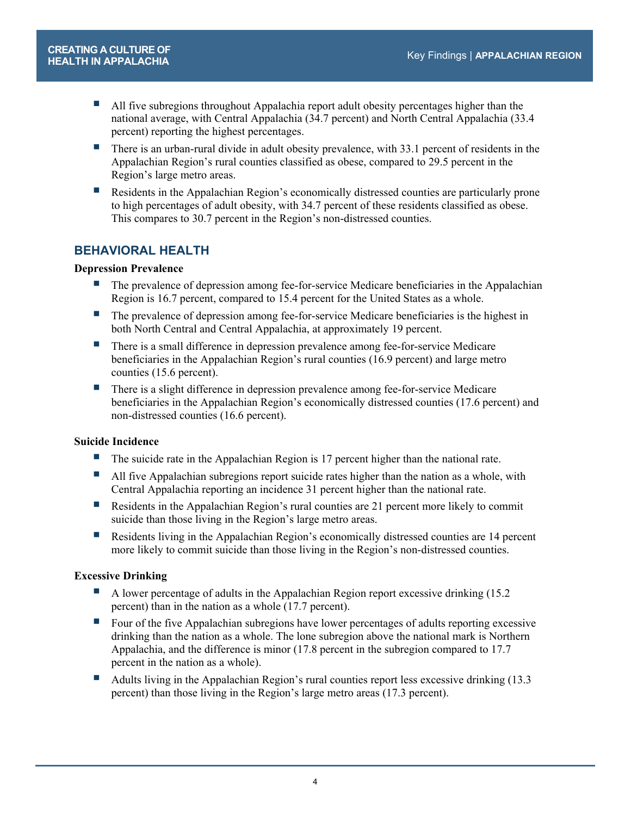- All five subregions throughout Appalachia report adult obesity percentages higher than the national average, with Central Appalachia (34.7 percent) and North Central Appalachia (33.4 percent) reporting the highest percentages.
- There is an urban-rural divide in adult obesity prevalence, with 33.1 percent of residents in the Appalachian Region's rural counties classified as obese, compared to 29.5 percent in the Region's large metro areas.
- **Residents in the Appalachian Region's economically distressed counties are particularly prone** to high percentages of adult obesity, with 34.7 percent of these residents classified as obese. This compares to 30.7 percent in the Region's non-distressed counties.

# **BEHAVIORAL HEALTH**

## **Depression Prevalence**

- **The prevalence of depression among fee-for-service Medicare beneficiaries in the Appalachian** Region is 16.7 percent, compared to 15.4 percent for the United States as a whole.
- **The prevalence of depression among fee-for-service Medicare beneficiaries is the highest in** both North Central and Central Appalachia, at approximately 19 percent.
- There is a small difference in depression prevalence among fee-for-service Medicare beneficiaries in the Appalachian Region's rural counties (16.9 percent) and large metro counties (15.6 percent).
- **There is a slight difference in depression prevalence among fee-for-service Medicare** beneficiaries in the Appalachian Region's economically distressed counties (17.6 percent) and non-distressed counties (16.6 percent).

## **Suicide Incidence**

- The suicide rate in the Appalachian Region is 17 percent higher than the national rate.
- All five Appalachian subregions report suicide rates higher than the nation as a whole, with Central Appalachia reporting an incidence 31 percent higher than the national rate.
- Residents in the Appalachian Region's rural counties are 21 percent more likely to commit suicide than those living in the Region's large metro areas.
- Residents living in the Appalachian Region's economically distressed counties are 14 percent more likely to commit suicide than those living in the Region's non-distressed counties.

## **Excessive Drinking**

- A lower percentage of adults in the Appalachian Region report excessive drinking (15.2 percent) than in the nation as a whole (17.7 percent).
- Four of the five Appalachian subregions have lower percentages of adults reporting excessive drinking than the nation as a whole. The lone subregion above the national mark is Northern Appalachia, and the difference is minor (17.8 percent in the subregion compared to 17.7 percent in the nation as a whole).
- Adults living in the Appalachian Region's rural counties report less excessive drinking (13.3) percent) than those living in the Region's large metro areas (17.3 percent).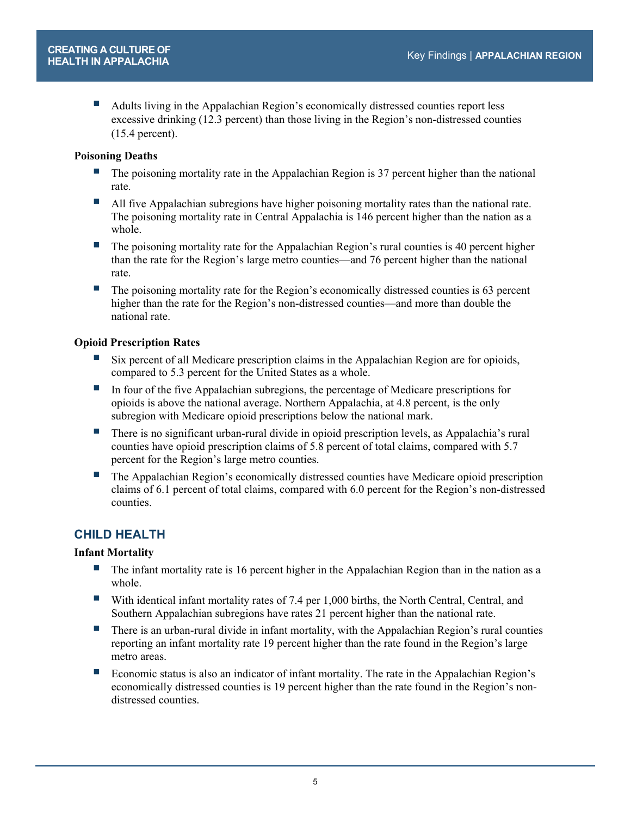Adults living in the Appalachian Region's economically distressed counties report less excessive drinking (12.3 percent) than those living in the Region's non-distressed counties (15.4 percent).

## **Poisoning Deaths**

- **The poisoning mortality rate in the Appalachian Region is 37 percent higher than the national** rate.
- All five Appalachian subregions have higher poisoning mortality rates than the national rate. The poisoning mortality rate in Central Appalachia is 146 percent higher than the nation as a whole.
- $\blacksquare$  The poisoning mortality rate for the Appalachian Region's rural counties is 40 percent higher than the rate for the Region's large metro counties—and 76 percent higher than the national rate.
- $\blacksquare$  The poisoning mortality rate for the Region's economically distressed counties is 63 percent higher than the rate for the Region's non-distressed counties—and more than double the national rate.

## **Opioid Prescription Rates**

- Six percent of all Medicare prescription claims in the Appalachian Region are for opioids, compared to 5.3 percent for the United States as a whole.
- In four of the five Appalachian subregions, the percentage of Medicare prescriptions for opioids is above the national average. Northern Appalachia, at 4.8 percent, is the only subregion with Medicare opioid prescriptions below the national mark.
- There is no significant urban-rural divide in opioid prescription levels, as Appalachia's rural counties have opioid prescription claims of 5.8 percent of total claims, compared with 5.7 percent for the Region's large metro counties.
- The Appalachian Region's economically distressed counties have Medicare opioid prescription claims of 6.1 percent of total claims, compared with 6.0 percent for the Region's non-distressed counties.

## **CHILD HEALTH**

## **Infant Mortality**

- The infant mortality rate is 16 percent higher in the Appalachian Region than in the nation as a whole.
- With identical infant mortality rates of 7.4 per 1,000 births, the North Central, Central, and Southern Appalachian subregions have rates 21 percent higher than the national rate.
- **There is an urban-rural divide in infant mortality, with the Appalachian Region's rural counties** reporting an infant mortality rate 19 percent higher than the rate found in the Region's large metro areas.
- Economic status is also an indicator of infant mortality. The rate in the Appalachian Region's economically distressed counties is 19 percent higher than the rate found in the Region's nondistressed counties.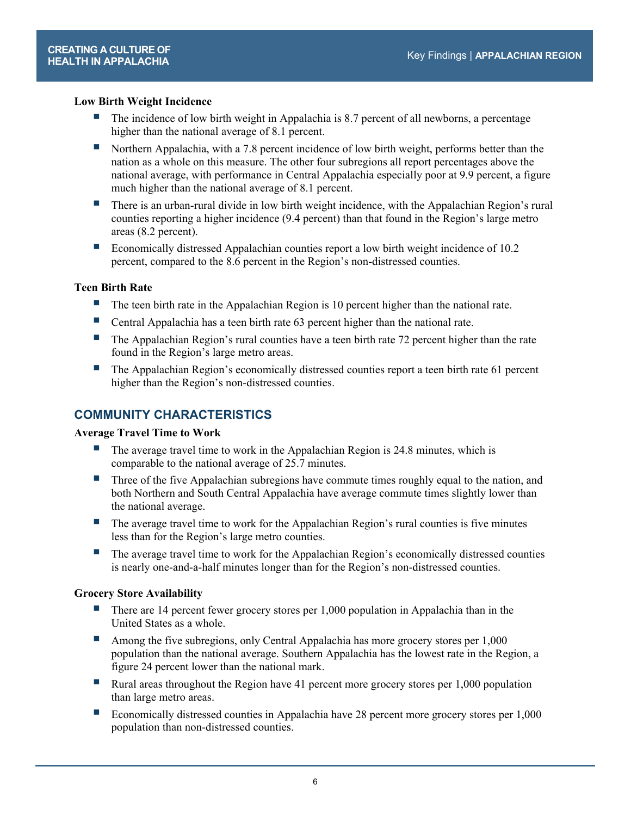## **Low Birth Weight Incidence**

- The incidence of low birth weight in Appalachia is 8.7 percent of all newborns, a percentage higher than the national average of 8.1 percent.
- Northern Appalachia, with a 7.8 percent incidence of low birth weight, performs better than the nation as a whole on this measure. The other four subregions all report percentages above the national average, with performance in Central Appalachia especially poor at 9.9 percent, a figure much higher than the national average of 8.1 percent.
- There is an urban-rural divide in low birth weight incidence, with the Appalachian Region's rural counties reporting a higher incidence (9.4 percent) than that found in the Region's large metro areas (8.2 percent).
- Economically distressed Appalachian counties report a low birth weight incidence of 10.2 percent, compared to the 8.6 percent in the Region's non-distressed counties.

#### **Teen Birth Rate**

- The teen birth rate in the Appalachian Region is 10 percent higher than the national rate.
- Central Appalachia has a teen birth rate 63 percent higher than the national rate.
- The Appalachian Region's rural counties have a teen birth rate 72 percent higher than the rate found in the Region's large metro areas.
- **The Appalachian Region's economically distressed counties report a teen birth rate 61 percent** higher than the Region's non-distressed counties.

## **COMMUNITY CHARACTERISTICS**

#### **Average Travel Time to Work**

- $\blacksquare$  The average travel time to work in the Appalachian Region is 24.8 minutes, which is comparable to the national average of 25.7 minutes.
- **Three of the five Appalachian subregions have commute times roughly equal to the nation, and** both Northern and South Central Appalachia have average commute times slightly lower than the national average.
- The average travel time to work for the Appalachian Region's rural counties is five minutes less than for the Region's large metro counties.
- **The average travel time to work for the Appalachian Region's economically distressed counties** is nearly one-and-a-half minutes longer than for the Region's non-distressed counties.

#### **Grocery Store Availability**

- There are 14 percent fewer grocery stores per 1,000 population in Appalachia than in the United States as a whole.
- Among the five subregions, only Central Appalachia has more grocery stores per 1,000 population than the national average. Southern Appalachia has the lowest rate in the Region, a figure 24 percent lower than the national mark.
- Rural areas throughout the Region have 41 percent more grocery stores per  $1,000$  population than large metro areas.
- Economically distressed counties in Appalachia have 28 percent more grocery stores per 1,000 population than non-distressed counties.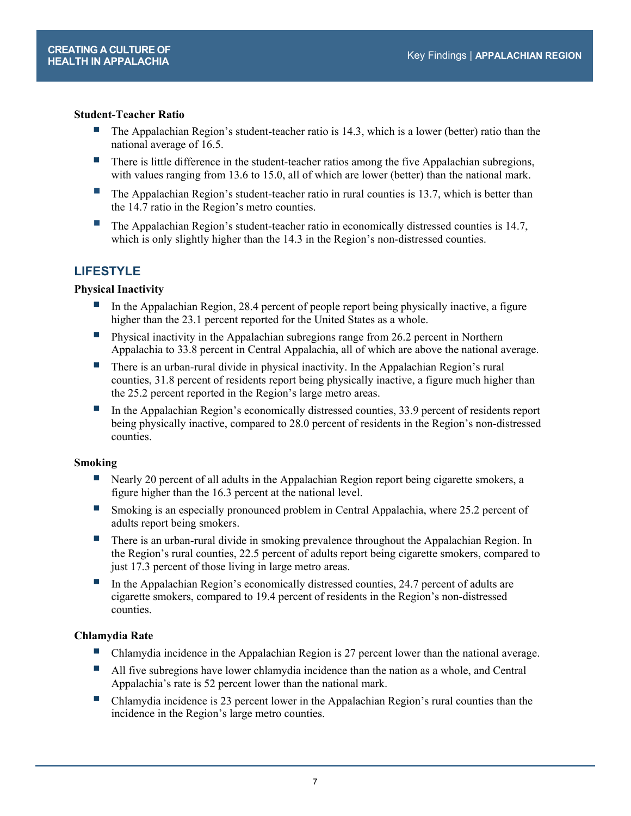#### **Student-Teacher Ratio**

- The Appalachian Region's student-teacher ratio is 14.3, which is a lower (better) ratio than the national average of 16.5.
- There is little difference in the student-teacher ratios among the five Appalachian subregions, with values ranging from 13.6 to 15.0, all of which are lower (better) than the national mark.
- The Appalachian Region's student-teacher ratio in rural counties is 13.7, which is better than the 14.7 ratio in the Region's metro counties.
- The Appalachian Region's student-teacher ratio in economically distressed counties is 14.7, which is only slightly higher than the 14.3 in the Region's non-distressed counties.

## **LIFESTYLE**

#### **Physical Inactivity**

- In the Appalachian Region, 28.4 percent of people report being physically inactive, a figure higher than the 23.1 percent reported for the United States as a whole.
- Physical inactivity in the Appalachian subregions range from 26.2 percent in Northern Appalachia to 33.8 percent in Central Appalachia, all of which are above the national average.
- **There is an urban-rural divide in physical inactivity. In the Appalachian Region's rural** counties, 31.8 percent of residents report being physically inactive, a figure much higher than the 25.2 percent reported in the Region's large metro areas.
- In the Appalachian Region's economically distressed counties, 33.9 percent of residents report being physically inactive, compared to 28.0 percent of residents in the Region's non-distressed counties.

#### **Smoking**

- Nearly 20 percent of all adults in the Appalachian Region report being cigarette smokers, a figure higher than the 16.3 percent at the national level.
- Smoking is an especially pronounced problem in Central Appalachia, where 25.2 percent of adults report being smokers.
- There is an urban-rural divide in smoking prevalence throughout the Appalachian Region. In the Region's rural counties, 22.5 percent of adults report being cigarette smokers, compared to just 17.3 percent of those living in large metro areas.
- In the Appalachian Region's economically distressed counties,  $24.7$  percent of adults are cigarette smokers, compared to 19.4 percent of residents in the Region's non-distressed counties.

## **Chlamydia Rate**

- Chlamydia incidence in the Appalachian Region is 27 percent lower than the national average.
- All five subregions have lower chlamydia incidence than the nation as a whole, and Central Appalachia's rate is 52 percent lower than the national mark.
- Chlamydia incidence is 23 percent lower in the Appalachian Region's rural counties than the incidence in the Region's large metro counties.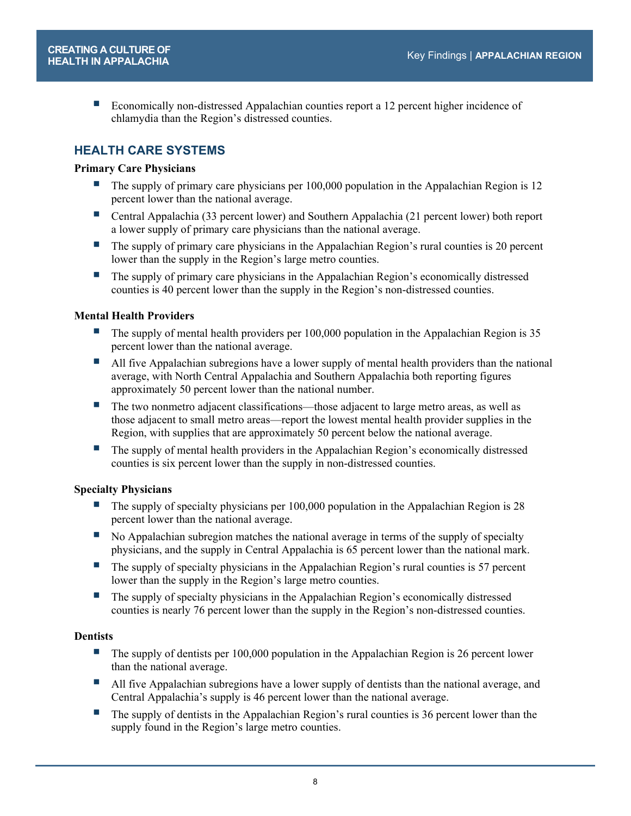■ Economically non-distressed Appalachian counties report a 12 percent higher incidence of chlamydia than the Region's distressed counties.

## **HEALTH CARE SYSTEMS**

#### **Primary Care Physicians**

- The supply of primary care physicians per  $100,000$  population in the Appalachian Region is 12 percent lower than the national average.
- Central Appalachia (33 percent lower) and Southern Appalachia (21 percent lower) both report a lower supply of primary care physicians than the national average.
- **The supply of primary care physicians in the Appalachian Region's rural counties is 20 percent** lower than the supply in the Region's large metro counties.
- The supply of primary care physicians in the Appalachian Region's economically distressed counties is 40 percent lower than the supply in the Region's non-distressed counties.

#### **Mental Health Providers**

- The supply of mental health providers per 100,000 population in the Appalachian Region is 35 percent lower than the national average.
- All five Appalachian subregions have a lower supply of mental health providers than the national average, with North Central Appalachia and Southern Appalachia both reporting figures approximately 50 percent lower than the national number.
- The two nonmetro adjacent classifications—those adjacent to large metro areas, as well as those adjacent to small metro areas—report the lowest mental health provider supplies in the Region, with supplies that are approximately 50 percent below the national average.
- The supply of mental health providers in the Appalachian Region's economically distressed counties is six percent lower than the supply in non-distressed counties.

#### **Specialty Physicians**

- The supply of specialty physicians per 100,000 population in the Appalachian Region is 28 percent lower than the national average.
- No Appalachian subregion matches the national average in terms of the supply of specialty physicians, and the supply in Central Appalachia is 65 percent lower than the national mark.
- $\blacksquare$  The supply of specialty physicians in the Appalachian Region's rural counties is 57 percent lower than the supply in the Region's large metro counties.
- **The supply of specialty physicians in the Appalachian Region's economically distressed** counties is nearly 76 percent lower than the supply in the Region's non-distressed counties.

#### **Dentists**

- $\blacksquare$  The supply of dentists per 100,000 population in the Appalachian Region is 26 percent lower than the national average.
- All five Appalachian subregions have a lower supply of dentists than the national average, and Central Appalachia's supply is 46 percent lower than the national average.
- $\blacksquare$  The supply of dentists in the Appalachian Region's rural counties is 36 percent lower than the supply found in the Region's large metro counties.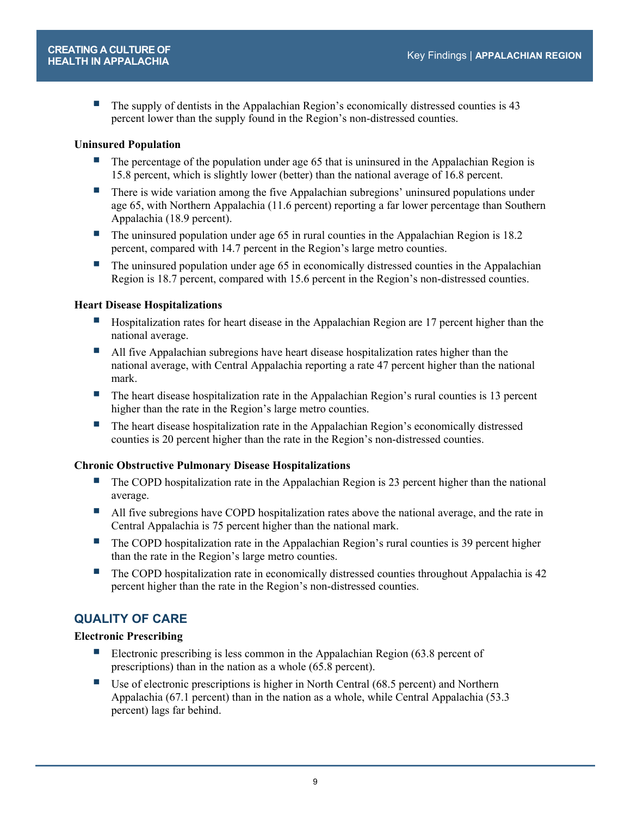The supply of dentists in the Appalachian Region's economically distressed counties is 43 percent lower than the supply found in the Region's non-distressed counties.

#### **Uninsured Population**

- The percentage of the population under age 65 that is uninsured in the Appalachian Region is 15.8 percent, which is slightly lower (better) than the national average of 16.8 percent.
- **There is wide variation among the five Appalachian subregions' uninsured populations under** age 65, with Northern Appalachia (11.6 percent) reporting a far lower percentage than Southern Appalachia (18.9 percent).
- The uninsured population under age 65 in rural counties in the Appalachian Region is 18.2 percent, compared with 14.7 percent in the Region's large metro counties.
- $\blacksquare$  The uninsured population under age 65 in economically distressed counties in the Appalachian Region is 18.7 percent, compared with 15.6 percent in the Region's non-distressed counties.

#### **Heart Disease Hospitalizations**

- **Hospitalization rates for heart disease in the Appalachian Region are 17 percent higher than the** national average.
- All five Appalachian subregions have heart disease hospitalization rates higher than the national average, with Central Appalachia reporting a rate 47 percent higher than the national mark.
- The heart disease hospitalization rate in the Appalachian Region's rural counties is 13 percent higher than the rate in the Region's large metro counties.
- **The heart disease hospitalization rate in the Appalachian Region's economically distressed** counties is 20 percent higher than the rate in the Region's non-distressed counties.

#### **Chronic Obstructive Pulmonary Disease Hospitalizations**

- $\blacksquare$  The COPD hospitalization rate in the Appalachian Region is 23 percent higher than the national average.
- All five subregions have COPD hospitalization rates above the national average, and the rate in Central Appalachia is 75 percent higher than the national mark.
- The COPD hospitalization rate in the Appalachian Region's rural counties is 39 percent higher than the rate in the Region's large metro counties.
- The COPD hospitalization rate in economically distressed counties throughout Appalachia is 42 percent higher than the rate in the Region's non-distressed counties.

## **QUALITY OF CARE**

#### **Electronic Prescribing**

- Electronic prescribing is less common in the Appalachian Region (63.8 percent of prescriptions) than in the nation as a whole (65.8 percent).
- Use of electronic prescriptions is higher in North Central (68.5 percent) and Northern Appalachia (67.1 percent) than in the nation as a whole, while Central Appalachia (53.3 percent) lags far behind.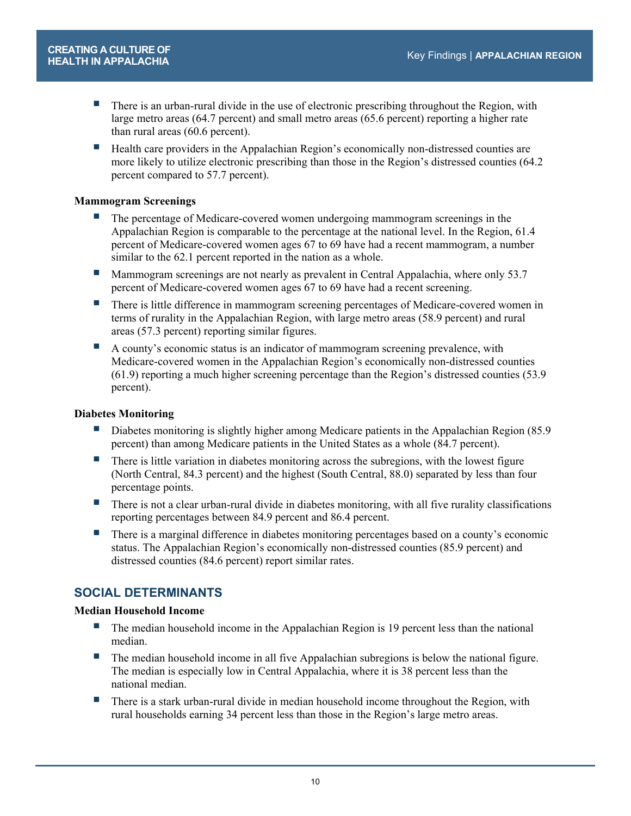- **There is an urban-rural divide in the use of electronic prescribing throughout the Region, with** large metro areas (64.7 percent) and small metro areas (65.6 percent) reporting a higher rate than rural areas (60.6 percent).
- Health care providers in the Appalachian Region's economically non-distressed counties are more likely to utilize electronic prescribing than those in the Region's distressed counties (64.2 percent compared to 57.7 percent).

#### **Mammogram Screenings**

- **The percentage of Medicare-covered women undergoing mammogram screenings in the** Appalachian Region is comparable to the percentage at the national level. In the Region, 61.4 percent of Medicare-covered women ages 67 to 69 have had a recent mammogram, a number similar to the 62.1 percent reported in the nation as a whole.
- Mammogram screenings are not nearly as prevalent in Central Appalachia, where only 53.7 percent of Medicare-covered women ages 67 to 69 have had a recent screening.
- **There is little difference in mammogram screening percentages of Medicare-covered women in** terms of rurality in the Appalachian Region, with large metro areas (58.9 percent) and rural areas (57.3 percent) reporting similar figures.
- A county's economic status is an indicator of mammogram screening prevalence, with Medicare-covered women in the Appalachian Region's economically non-distressed counties (61.9) reporting a much higher screening percentage than the Region's distressed counties (53.9 percent).

## **Diabetes Monitoring**

- Diabetes monitoring is slightly higher among Medicare patients in the Appalachian Region (85.9) percent) than among Medicare patients in the United States as a whole (84.7 percent).
- **There is little variation in diabetes monitoring across the subregions, with the lowest figure** (North Central, 84.3 percent) and the highest (South Central, 88.0) separated by less than four percentage points.
- There is not a clear urban-rural divide in diabetes monitoring, with all five rurality classifications reporting percentages between 84.9 percent and 86.4 percent.
- There is a marginal difference in diabetes monitoring percentages based on a county's economic status. The Appalachian Region's economically non-distressed counties (85.9 percent) and distressed counties (84.6 percent) report similar rates.

## **SOCIAL DETERMINANTS**

## **Median Household Income**

- **The median household income in the Appalachian Region is 19 percent less than the national** median.
- **The median household income in all five Appalachian subregions is below the national figure.** The median is especially low in Central Appalachia, where it is 38 percent less than the national median.
- **There is a stark urban-rural divide in median household income throughout the Region, with** rural households earning 34 percent less than those in the Region's large metro areas.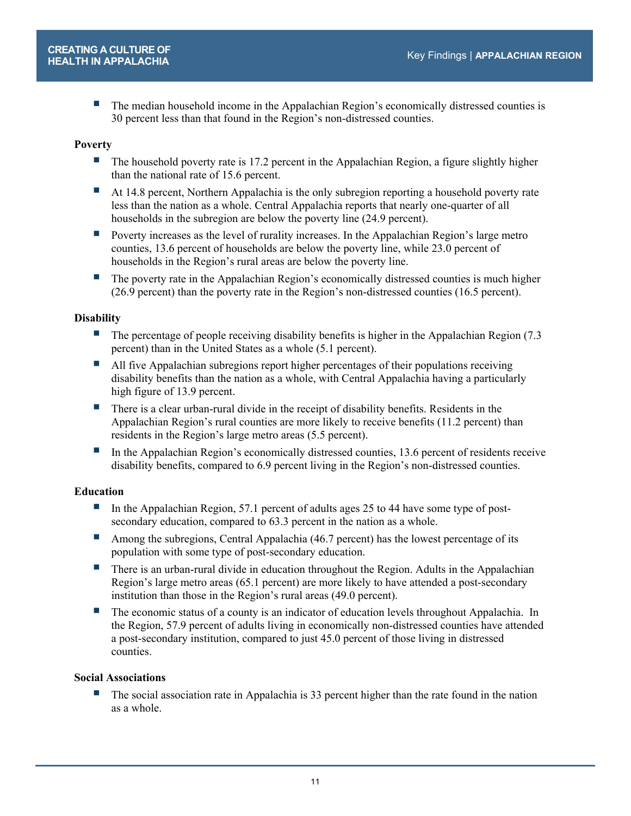**The median household income in the Appalachian Region's economically distressed counties is** 30 percent less than that found in the Region's non-distressed counties.

#### **Poverty**

- The household poverty rate is 17.2 percent in the Appalachian Region, a figure slightly higher than the national rate of 15.6 percent.
- At 14.8 percent, Northern Appalachia is the only subregion reporting a household poverty rate less than the nation as a whole. Central Appalachia reports that nearly one-quarter of all households in the subregion are below the poverty line (24.9 percent).
- **Poverty increases as the level of rurality increases. In the Appalachian Region's large metro** counties, 13.6 percent of households are below the poverty line, while 23.0 percent of households in the Region's rural areas are below the poverty line.
- The poverty rate in the Appalachian Region's economically distressed counties is much higher (26.9 percent) than the poverty rate in the Region's non-distressed counties (16.5 percent).

#### **Disability**

- The percentage of people receiving disability benefits is higher in the Appalachian Region (7.3 percent) than in the United States as a whole (5.1 percent).
- All five Appalachian subregions report higher percentages of their populations receiving disability benefits than the nation as a whole, with Central Appalachia having a particularly high figure of 13.9 percent.
- There is a clear urban-rural divide in the receipt of disability benefits. Residents in the Appalachian Region's rural counties are more likely to receive benefits (11.2 percent) than residents in the Region's large metro areas (5.5 percent).
- In the Appalachian Region's economically distressed counties, 13.6 percent of residents receive disability benefits, compared to 6.9 percent living in the Region's non-distressed counties.

#### **Education**

- In the Appalachian Region, 57.1 percent of adults ages 25 to 44 have some type of postsecondary education, compared to 63.3 percent in the nation as a whole.
- Among the subregions, Central Appalachia (46.7 percent) has the lowest percentage of its population with some type of post-secondary education.
- **There is an urban-rural divide in education throughout the Region. Adults in the Appalachian** Region's large metro areas (65.1 percent) are more likely to have attended a post-secondary institution than those in the Region's rural areas (49.0 percent).
- The economic status of a county is an indicator of education levels throughout Appalachia. In the Region, 57.9 percent of adults living in economically non-distressed counties have attended a post-secondary institution, compared to just 45.0 percent of those living in distressed counties.

#### **Social Associations**

 The social association rate in Appalachia is 33 percent higher than the rate found in the nation as a whole.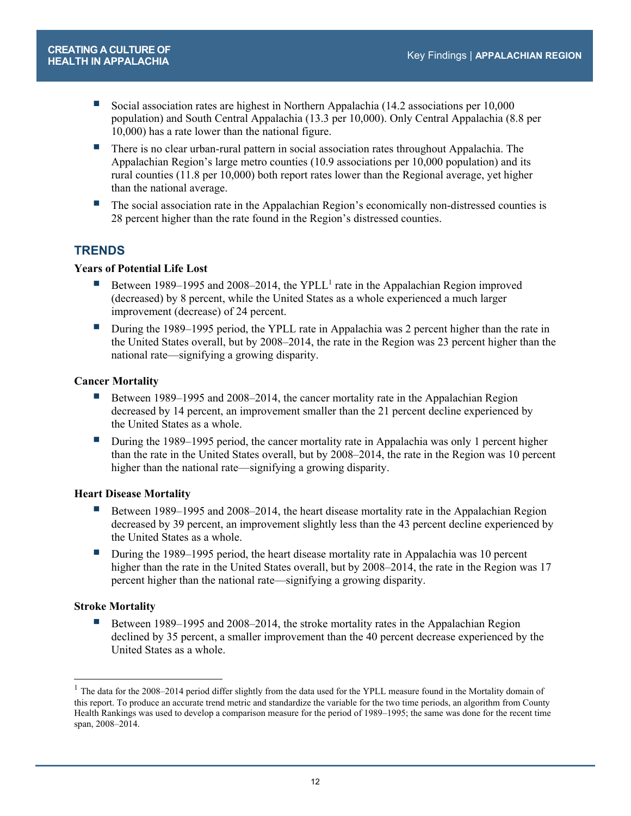- Social association rates are highest in Northern Appalachia (14.2 associations per 10,000 population) and South Central Appalachia (13.3 per 10,000). Only Central Appalachia (8.8 per 10,000) has a rate lower than the national figure.
- There is no clear urban-rural pattern in social association rates throughout Appalachia. The Appalachian Region's large metro counties (10.9 associations per 10,000 population) and its rural counties (11.8 per 10,000) both report rates lower than the Regional average, yet higher than the national average.
- The social association rate in the Appalachian Region's economically non-distressed counties is 28 percent higher than the rate found in the Region's distressed counties.

## **TRENDS**

## **Years of Potential Life Lost**

- Between 1989–1995 and 2008–2014, the YPLL<sup>1</sup> rate in the Appalachian Region improved (decreased) by 8 percent, while the United States as a whole experienced a much larger improvement (decrease) of 24 percent.
- **During the 1989–1995 period, the YPLL rate in Appalachia was 2 percent higher than the rate in** the United States overall, but by 2008–2014, the rate in the Region was 23 percent higher than the national rate—signifying a growing disparity.

## **Cancer Mortality**

- Between 1989–1995 and 2008–2014, the cancer mortality rate in the Appalachian Region decreased by 14 percent, an improvement smaller than the 21 percent decline experienced by the United States as a whole.
- During the 1989–1995 period, the cancer mortality rate in Appalachia was only 1 percent higher than the rate in the United States overall, but by 2008–2014, the rate in the Region was 10 percent higher than the national rate—signifying a growing disparity.

## **Heart Disease Mortality**

- Between 1989–1995 and 2008–2014, the heart disease mortality rate in the Appalachian Region decreased by 39 percent, an improvement slightly less than the 43 percent decline experienced by the United States as a whole.
- **During the 1989–1995 period, the heart disease mortality rate in Appalachia was 10 percent** higher than the rate in the United States overall, but by 2008–2014, the rate in the Region was 17 percent higher than the national rate—signifying a growing disparity.

## **Stroke Mortality**

1

Between 1989–1995 and 2008–2014, the stroke mortality rates in the Appalachian Region declined by 35 percent, a smaller improvement than the 40 percent decrease experienced by the United States as a whole.

 $1$  The data for the 2008–2014 period differ slightly from the data used for the YPLL measure found in the Mortality domain of this report. To produce an accurate trend metric and standardize the variable for the two time periods, an algorithm from County Health Rankings was used to develop a comparison measure for the period of 1989–1995; the same was done for the recent time span, 2008–2014.